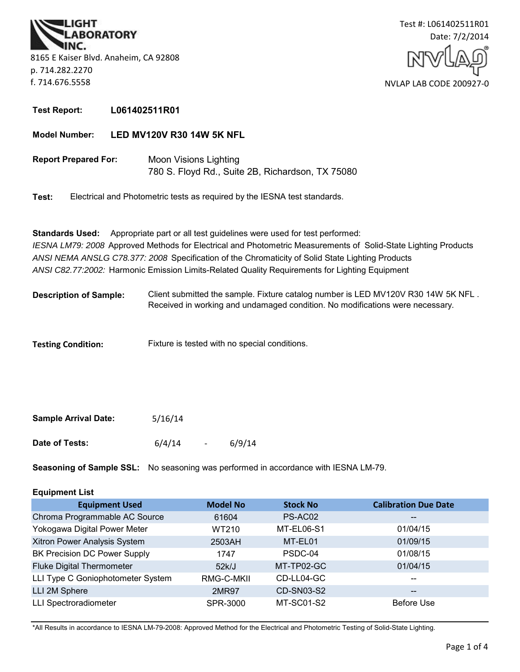



**Test Report: L061402511R01**

**Model Number: LED MV120V R30 14W 5K NFL**

**Report Prepared For:** Moon Visions Lighting 780 S. Floyd Rd., Suite 2B, Richardson, TX 75080

**Test:** Electrical and Photometric tests as required by the IESNA test standards.

**Standards Used:** Appropriate part or all test guidelines were used for test performed: *IESNA LM79: 2008* Approved Methods for Electrical and Photometric Measurements of Solid-State Lighting Products *ANSI NEMA ANSLG C78.377: 2008* Specification of the Chromaticity of Solid State Lighting Products *ANSI C82.77:2002:* Harmonic Emission Limits-Related Quality Requirements for Lighting Equipment

**Description of Sample:** Client submitted the sample. Fixture catalog number is LED MV120V R30 14W 5K NFL . Received in working and undamaged condition. No modifications were necessary.

**Testing Condition:** Fixture is tested with no special conditions.

| <b>Sample Arrival Date:</b> | 5/16/14 |                          |        |
|-----------------------------|---------|--------------------------|--------|
| Date of Tests:              | 6/4/14  | $\overline{\phantom{0}}$ | 6/9/14 |

**Seasoning of Sample SSL:** No seasoning was performed in accordance with IESNA LM-79.

| <b>Equipment List</b> |  |
|-----------------------|--|
|-----------------------|--|

| <b>Equipment Used</b>             | <b>Model No</b> | <b>Stock No</b> | <b>Calibration Due Date</b>           |
|-----------------------------------|-----------------|-----------------|---------------------------------------|
| Chroma Programmable AC Source     | 61604           | PS-AC02         | $\hspace{0.05cm}$ – $\hspace{0.05cm}$ |
| Yokogawa Digital Power Meter      | WT210           | MT-EL06-S1      | 01/04/15                              |
| Xitron Power Analysis System      | 2503AH          | MT-EL01         | 01/09/15                              |
| BK Precision DC Power Supply      | 1747            | PSDC-04         | 01/08/15                              |
| <b>Fluke Digital Thermometer</b>  | 52k/J           | MT-TP02-GC      | 01/04/15                              |
| LLI Type C Goniophotometer System | RMG-C-MKII      | CD-LL04-GC      | $\qquad \qquad -$                     |
| LLI 2M Sphere                     | 2MR97           | CD-SN03-S2      | $\hspace{0.05cm}$                     |
| <b>LLI Spectroradiometer</b>      | SPR-3000        | MT-SC01-S2      | <b>Before Use</b>                     |

\*All Results in accordance to IESNA LM-79-2008: Approved Method for the Electrical and Photometric Testing of Solid-State Lighting.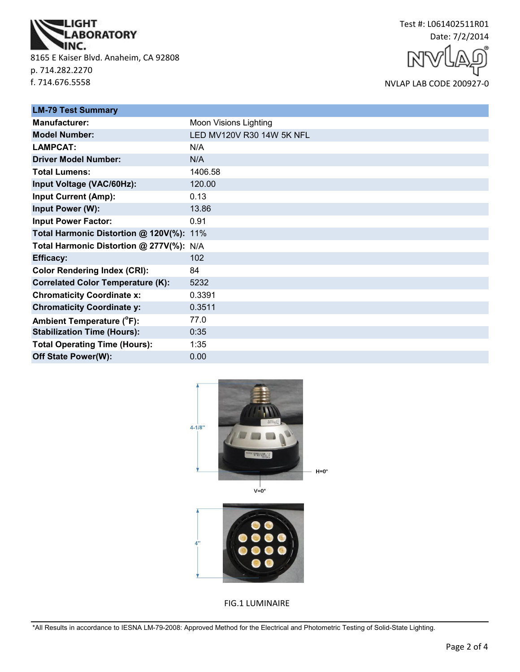

8165 E Kaiser Blvd. Anaheim, CA 92808 p. 714.282.2270 f. 714.676.5558



NVLAP LAB CODE 200927-0

| <b>LM-79 Test Summary</b>                |                           |
|------------------------------------------|---------------------------|
| <b>Manufacturer:</b>                     | Moon Visions Lighting     |
| <b>Model Number:</b>                     | LED MV120V R30 14W 5K NFL |
| <b>LAMPCAT:</b>                          | N/A                       |
| <b>Driver Model Number:</b>              | N/A                       |
| <b>Total Lumens:</b>                     | 1406.58                   |
| Input Voltage (VAC/60Hz):                | 120.00                    |
| <b>Input Current (Amp):</b>              | 0.13                      |
| Input Power (W):                         | 13.86                     |
| <b>Input Power Factor:</b>               | 0.91                      |
| Total Harmonic Distortion @ 120V(%): 11% |                           |
| Total Harmonic Distortion @ 277V(%): N/A |                           |
| <b>Efficacy:</b>                         | 102                       |
| <b>Color Rendering Index (CRI):</b>      | 84                        |
| <b>Correlated Color Temperature (K):</b> | 5232                      |
| <b>Chromaticity Coordinate x:</b>        | 0.3391                    |
| <b>Chromaticity Coordinate y:</b>        | 0.3511                    |
| Ambient Temperature (°F):                | 77.0                      |
| <b>Stabilization Time (Hours):</b>       | 0:35                      |
| <b>Total Operating Time (Hours):</b>     | 1:35                      |
| Off State Power(W):                      | 0.00                      |





FIG.1 LUMINAIRE

\*All Results in accordance to IESNA LM-79-2008: Approved Method for the Electrical and Photometric Testing of Solid-State Lighting.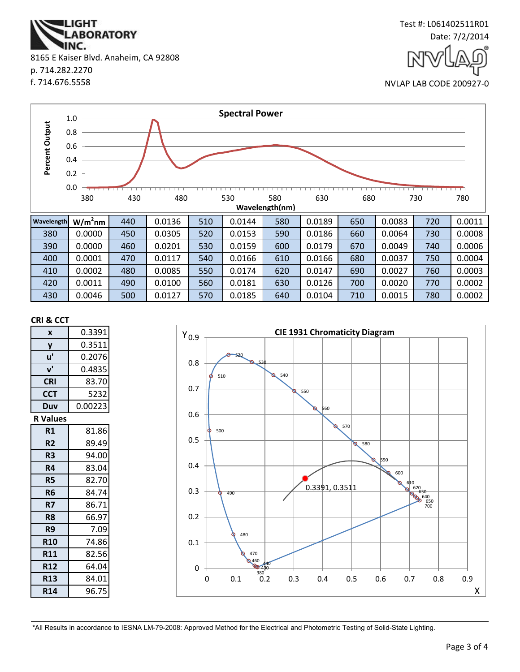**ABORATORY** IINC. 8165 E Kaiser Blvd. Anaheim, CA 92808 p. 714.282.2270 f. 714.676.5558

**IGHT** 



NVLAP LAB CODE 200927-0



#### **CRI & CCT**

| X               | 0.3391  |  |
|-----------------|---------|--|
| y               | 0.3511  |  |
| u'              | 0.2076  |  |
| ${\bf v}'$      | 0.4835  |  |
| <b>CRI</b>      | 83.70   |  |
| <b>CCT</b>      | 5232    |  |
| Duv             | 0.00223 |  |
| <b>R</b> Values |         |  |
| R1              | 81.86   |  |
| R <sub>2</sub>  | 89.49   |  |
| R3              | 94.00   |  |
| R4              | 83.04   |  |
| <b>R5</b>       | 82.70   |  |
| R6              | 84.74   |  |
| R7              | 86.71   |  |
| R8              | 66.97   |  |
| R9              | 7.09    |  |
| <b>R10</b>      | 74.86   |  |
| <b>R11</b>      | 82.56   |  |
| <b>R12</b>      | 64.04   |  |
| <b>R13</b>      | 84.01   |  |
| <b>R14</b>      | 96.75   |  |



\*All Results in accordance to IESNA LM-79-2008: Approved Method for the Electrical and Photometric Testing of Solid-State Lighting.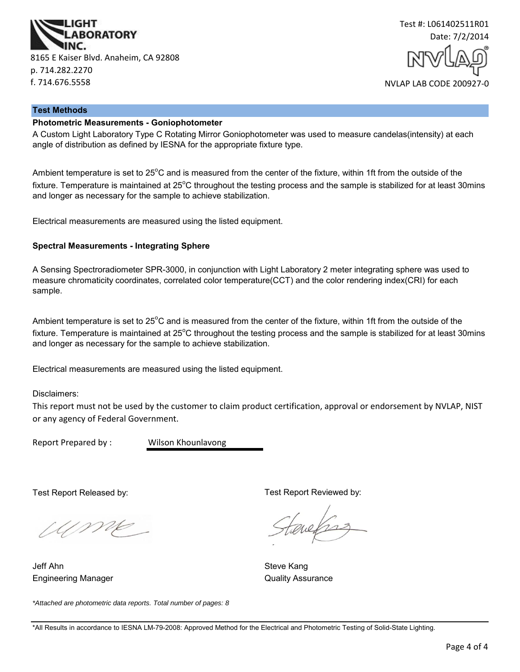



#### **Test Methods**

# **Photometric Measurements - Goniophotometer**

A Custom Light Laboratory Type C Rotating Mirror Goniophotometer was used to measure candelas(intensity) at each angle of distribution as defined by IESNA for the appropriate fixture type.

Ambient temperature is set to  $25^{\circ}$ C and is measured from the center of the fixture, within 1ft from the outside of the fixture. Temperature is maintained at  $25^{\circ}$ C throughout the testing process and the sample is stabilized for at least 30mins and longer as necessary for the sample to achieve stabilization.

Electrical measurements are measured using the listed equipment.

#### **Spectral Measurements - Integrating Sphere**

A Sensing Spectroradiometer SPR-3000, in conjunction with Light Laboratory 2 meter integrating sphere was used to measure chromaticity coordinates, correlated color temperature(CCT) and the color rendering index(CRI) for each sample.

Ambient temperature is set to 25°C and is measured from the center of the fixture, within 1ft from the outside of the fixture. Temperature is maintained at  $25^{\circ}$ C throughout the testing process and the sample is stabilized for at least 30mins and longer as necessary for the sample to achieve stabilization.

Electrical measurements are measured using the listed equipment.

Disclaimers:

This report must not be used by the customer to claim product certification, approval or endorsement by NVLAP, NIST or any agency of Federal Government.

Report Prepared by : Wilson Khounlavong

Test Report Released by:

Ump

Engineering Manager **Contract Contract Contract Contract Contract Contract Contract Contract Contract Contract Contract Contract Contract Contract Contract Contract Contract Contract Contract Contract Contract Contract Con** Jeff Ahn Steve Kang

Test Report Reviewed by:

evels

*\*Attached are photometric data reports. Total number of pages: 8*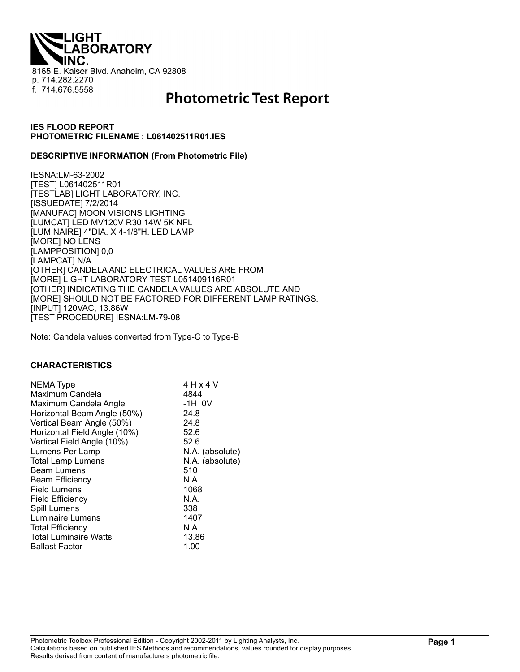**IGHT ABORATORY** 8165 E. Kaiser Blvd. Anaheim, CA 92808 p. 714.282.2270 f. 714.676.5558

# **Photometric Test Report**

## **IES FLOOD REPORT PHOTOMETRIC FILENAME : L061402511R01.IES**

## **DESCRIPTIVE INFORMATION (From Photometric File)**

IESNA:LM-63-2002 [TEST] L061402511R01 [TESTLAB] LIGHT LABORATORY, INC. [ISSUEDATE] 7/2/2014 [MANUFAC] MOON VISIONS LIGHTING [LUMCAT] LED MV120V R30 14W 5K NFL [LUMINAIRE] 4"DIA. X 4-1/8"H. LED LAMP [MORE] NO LENS [LAMPPOSITION] 0,0 [LAMPCAT] N/A [OTHER] CANDELA AND ELECTRICAL VALUES ARE FROM [MORE] LIGHT LABORATORY TEST L051409116R01 [OTHER] INDICATING THE CANDELA VALUES ARE ABSOLUTE AND [MORE] SHOULD NOT BE FACTORED FOR DIFFERENT LAMP RATINGS. [INPUT] 120VAC, 13.86W [TEST PROCEDURE] IESNA:LM-79-08

Note: Candela values converted from Type-C to Type-B

#### **CHARACTERISTICS**

| <b>NEMA Type</b><br>Maximum Candela<br>Maximum Candela Angle<br>Horizontal Beam Angle (50%) | 4 H x 4 V<br>4844<br>$-1H$ OV<br>24.8 |
|---------------------------------------------------------------------------------------------|---------------------------------------|
| Vertical Beam Angle (50%)                                                                   | 24.8                                  |
| Horizontal Field Angle (10%)                                                                | 52.6                                  |
| Vertical Field Angle (10%)                                                                  | 52.6                                  |
| Lumens Per Lamp                                                                             | N.A. (absolute)                       |
| <b>Total Lamp Lumens</b>                                                                    | N.A. (absolute)                       |
| <b>Beam Lumens</b>                                                                          | 510                                   |
| <b>Beam Efficiency</b>                                                                      | N.A.                                  |
| <b>Field Lumens</b>                                                                         | 1068                                  |
| <b>Field Efficiency</b>                                                                     | N.A.                                  |
| Spill Lumens                                                                                | 338                                   |
| Luminaire Lumens                                                                            | 1407                                  |
| <b>Total Efficiency</b>                                                                     | N.A.                                  |
| <b>Total Luminaire Watts</b>                                                                | 13.86                                 |
| <b>Ballast Factor</b>                                                                       | 1.00                                  |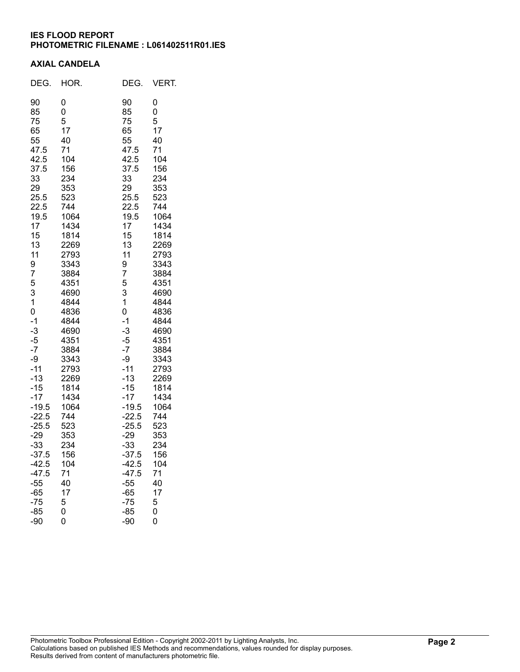# **IES FLOOD REPORT PHOTOMETRIC FILENAME : L061402511R01.IES**

## **AXIAL CANDELA**

| DEG.                                                                                                                                                                                                                                                                                                                                         | HOR.                                                                                                                                                                                                                                                                                                                  | DEG.                                                                                                                                                                                                                                                                                                                                           | VERT.                                                                                                                                                                                                                                                                                                                 |
|----------------------------------------------------------------------------------------------------------------------------------------------------------------------------------------------------------------------------------------------------------------------------------------------------------------------------------------------|-----------------------------------------------------------------------------------------------------------------------------------------------------------------------------------------------------------------------------------------------------------------------------------------------------------------------|------------------------------------------------------------------------------------------------------------------------------------------------------------------------------------------------------------------------------------------------------------------------------------------------------------------------------------------------|-----------------------------------------------------------------------------------------------------------------------------------------------------------------------------------------------------------------------------------------------------------------------------------------------------------------------|
| 90<br>85<br>75<br>65<br>55<br>47.5<br>42.5<br>37.5<br>33<br>29<br>25.5<br>22.5<br>19.5<br>17<br>15<br>13<br>11<br>9<br>7<br>5<br>3<br>1<br>0<br>$-1$<br>$-3$<br>$-5$<br>$-7$<br>-9<br>$-11$<br>$-13$<br>$-15$<br>$-17$<br>$-19.5$<br>$-22.5$<br>$-25.5$<br>$-29$<br>$-33$<br>$-37.5$<br>$-42.5$<br>$-47.5$<br>$-55$<br>-65<br>$-75$<br>$-85$ | 0<br>0<br>5<br>17<br>40<br>71<br>104<br>156<br>234<br>353<br>523<br>744<br>1064<br>1434<br>1814<br>2269<br>2793<br>3343<br>3884<br>4351<br>4690<br>4844<br>4836<br>4844<br>4690<br>4351<br>3884<br>3343<br>2793<br>2269<br>1814<br>1434<br>1064<br>744<br>523<br>353<br>234<br>156<br>104<br>71<br>40<br>17<br>5<br>0 | 90<br>85<br>75<br>65<br>55<br>47.5<br>42.5<br>37.5<br>33<br>29<br>25.5<br>22.5<br>19.5<br>17<br>15<br>13<br>11<br>9<br>7<br>5<br>3<br>1<br>0<br>$-1$<br>$-3$<br>$-5$<br>$-7$<br>-9<br>$-11$<br>$-13$<br>$-15$<br>$-17$<br>$-19.5$<br>$-22.5$<br>$-25.5$<br>$-29$<br>$-33$<br>$-37.5$<br>$-42.5$<br>$-47.5$<br>$-55$<br>$-65$<br>$-75$<br>$-85$ | 0<br>0<br>5<br>17<br>40<br>71<br>104<br>156<br>234<br>353<br>523<br>744<br>1064<br>1434<br>1814<br>2269<br>2793<br>3343<br>3884<br>4351<br>4690<br>4844<br>4836<br>4844<br>4690<br>4351<br>3884<br>3343<br>2793<br>2269<br>1814<br>1434<br>1064<br>744<br>523<br>353<br>234<br>156<br>104<br>71<br>40<br>17<br>5<br>0 |
| -90                                                                                                                                                                                                                                                                                                                                          | 0                                                                                                                                                                                                                                                                                                                     | -90                                                                                                                                                                                                                                                                                                                                            | 0                                                                                                                                                                                                                                                                                                                     |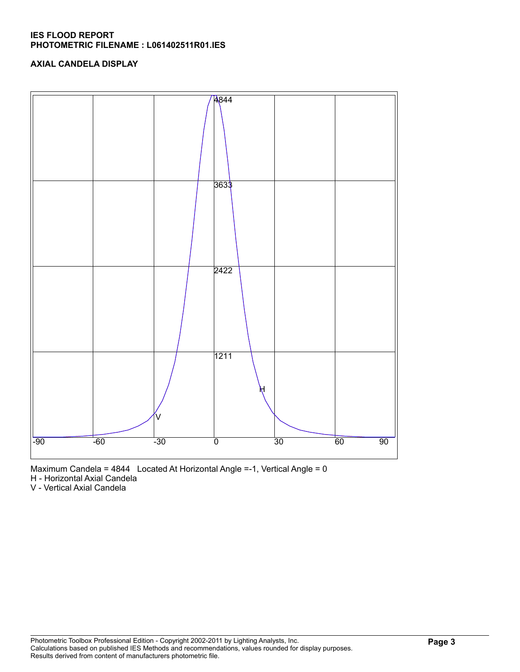# **IES FLOOD REPORT PHOTOMETRIC FILENAME : L061402511R01.IES**

# **AXIAL CANDELA DISPLAY**



Maximum Candela = 4844 Located At Horizontal Angle =-1, Vertical Angle = 0

H - Horizontal Axial Candela

V - Vertical Axial Candela